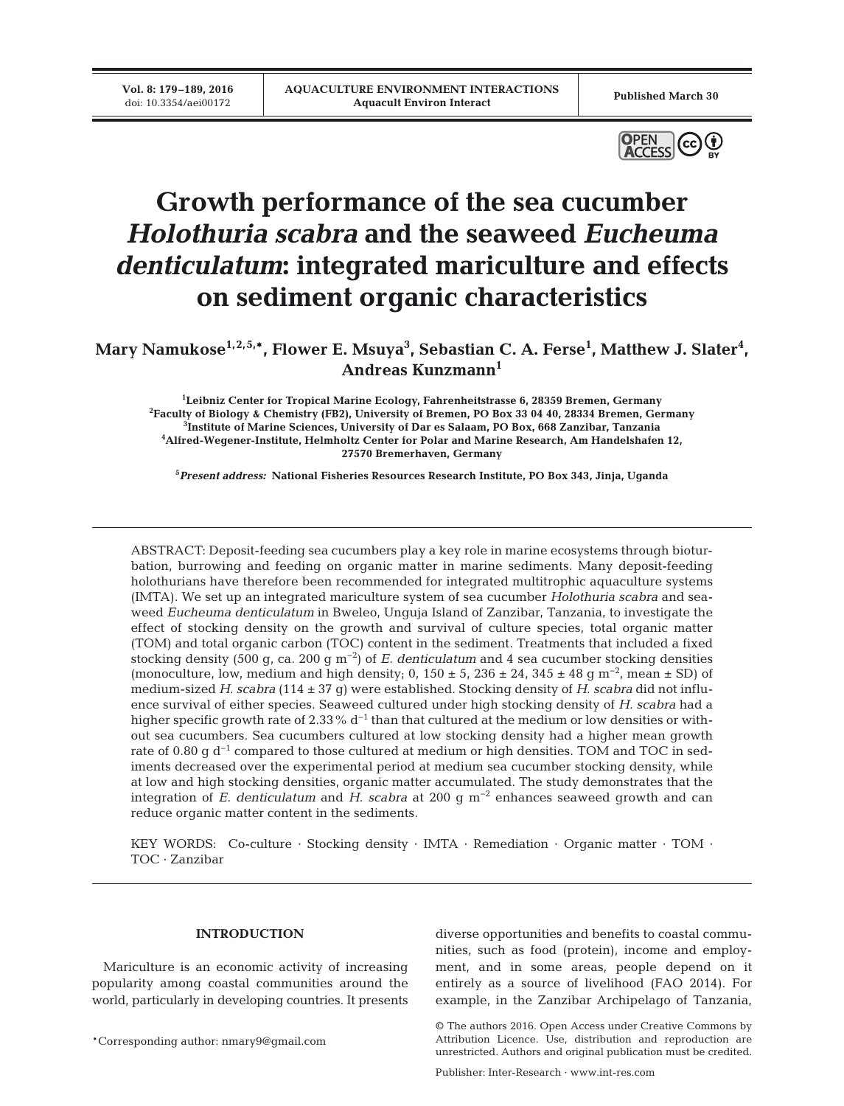**Vol. 8: 179–189, 2016**<br>doi: 10.3354/aei00172



# **Growth performance of the sea cucumber** *Holothuria scabra* **and the seaweed** *Eucheuma denticulatum***: integrated mariculture and effects on sediment organic characteristics**

Mary Namukose<sup>1,2,5,</sup>\*, Flower E. Msuya<sup>3</sup>, Sebastian C. A. Ferse<sup>1</sup>, Matthew J. Slater<sup>4</sup>, **Andreas Kunzmann1**

 **Leibniz Center for Tropical Marine Ecology, Fahrenheitstrasse 6, 28359 Bremen, Germany Faculty of Biology & Chemistry (FB2), University of Bremen, PO Box 33 04 40, 28334 Bremen, Germany Institute of Marine Sciences, University of Dar es Salaam, PO Box, 668 Zanzibar, Tanzania Alfred-Wegener-Institute, Helmholtz Center for Polar and Marine Research, Am Handelshafen 12, 27570 Bremerhaven, Germany**

**5** *Present address:* **National Fisheries Resources Research Institute, PO Box 343, Jinja, Uganda**

ABSTRACT: Deposit-feeding sea cucumbers play a key role in marine ecosystems through bioturbation, burrowing and feeding on organic matter in marine sediments. Many deposit-feeding holothurians have therefore been recommended for integrated multitrophic aquaculture systems (IMTA). We set up an integrated mariculture system of sea cucumber *Holothuria scabra* and seaweed *Eucheuma denticulatum* in Bweleo, Unguja Island of Zanzibar, Tanzania, to investigate the effect of stocking density on the growth and survival of culture species, total organic matter (TOM) and total organic carbon (TOC) content in the sediment. Treatments that included a fixed stocking density (500 g, ca. 200 g m−2) of *E. denticulatum* and 4 sea cucumber stocking densities (monoculture, low, medium and high density; 0,  $150 \pm 5$ ,  $236 \pm 24$ ,  $345 \pm 48$  g m<sup>-2</sup>, mean ± SD) of medium-sized *H. scabra* (114 ± 37 g) were established. Stocking density of *H. scabra* did not influence survival of either species. Seaweed cultured under high stocking density of *H. scabra* had a higher specific growth rate of 2.33% d<sup>-1</sup> than that cultured at the medium or low densities or without sea cucumbers. Sea cucumbers cultured at low stocking density had a higher mean growth rate of 0.80 g d<sup>-1</sup> compared to those cultured at medium or high densities. TOM and TOC in sediments decreased over the experimental period at medium sea cucumber stocking density, while at low and high stocking densities, organic matter accumulated. The study demonstrates that the integration of *E. denticulatum* and *H. scabra* at 200 g m−2 enhances seaweed growth and can reduce organic matter content in the sediments.

KEY WORDS: Co-culture · Stocking density · IMTA · Remediation · Organic matter · TOM · TOC · Zanzibar

# **INTRODUCTION**

Mariculture is an economic activity of increasing popularity among coastal communities around the world, particularly in developing countries. It presents

\*Corresponding author: nmary9@gmail.com

diverse opportunities and benefits to coastal communities, such as food (protein), income and employment, and in some areas, people depend on it entirely as a source of livelihood (FAO 2014). For example, in the Zanzibar Archipelago of Tanzania,

Publisher: Inter-Research · www.int-res.com

<sup>©</sup> The authors 2016. Open Access under Creative Commons by Attribution Licence. Use, distribution and reproduction are unrestricted. Authors and original publication must be credited.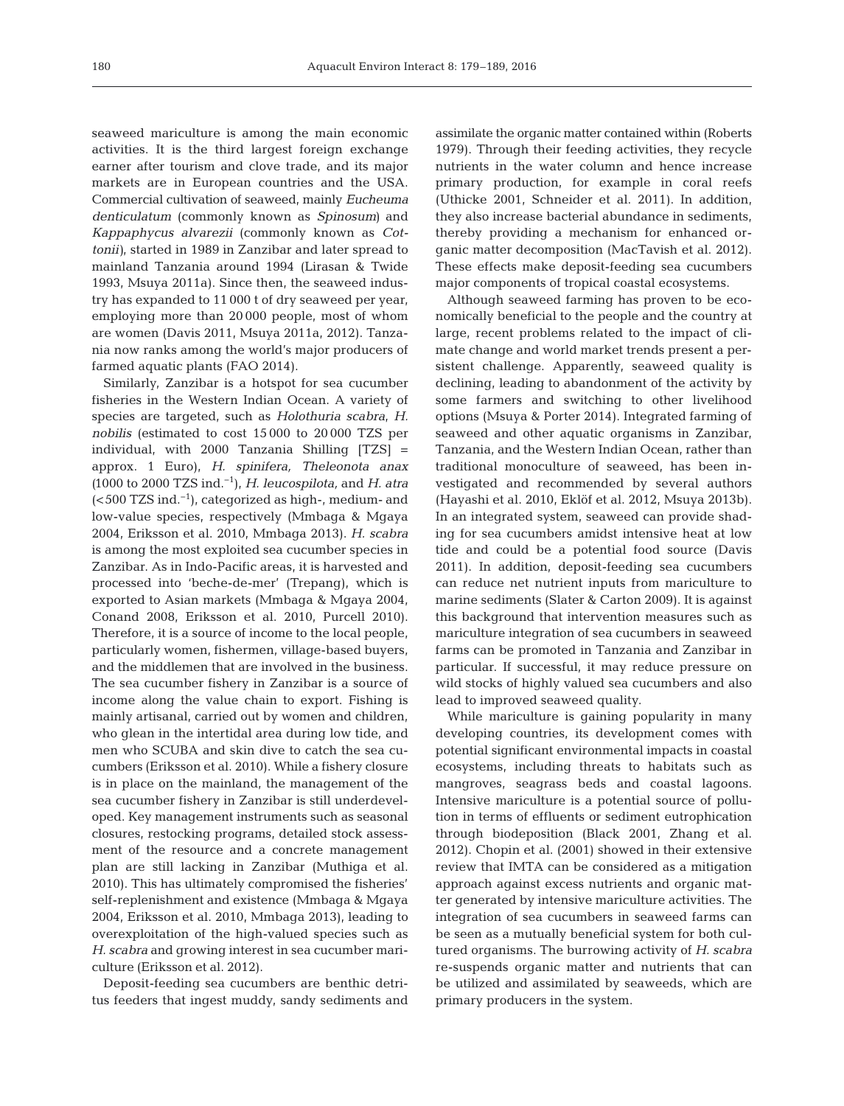seaweed mariculture is among the main economic activities. It is the third largest foreign exchange earner after tourism and clove trade, and its major markets are in European countries and the USA. Commercial cultivation of seaweed, mainly *Eucheuma denticulatum* (commonly known as *Spinosum)* and *Kappaphycus alvarezii* (commonly known as *Cottonii)*, started in 1989 in Zanzibar and later spread to mainland Tanzania around 1994 (Lirasan & Twide 1993, Msuya 2011a). Since then, the seaweed industry has expanded to 11 000 t of dry seaweed per year, employing more than 20 000 people, most of whom are women (Davis 2011, Msuya 2011a, 2012). Tanzania now ranks among the world's major producers of farmed aquatic plants (FAO 2014).

Similarly, Zanzibar is a hotspot for sea cucumber fisheries in the Western Indian Ocean. A variety of species are targeted, such as *Holothuria scabra*, *H. nobilis* (estimated to cost 15 000 to 20 000 TZS per individual, with 2000 Tanzania Shilling [TZS] = approx. 1 Euro), *H. spinifera, Theleonota anax (*1000 to 2000 TZS ind.−1), *H. leucospilota,* and *H. atra* (<500 TZS ind.−1), categorized as high-, medium- and low-value species, respectively (Mmbaga & Mgaya 2004, Eriksson et al. 2010, Mmbaga 2013). *H. scabra* is among the most exploited sea cucumber species in Zanzibar. As in Indo-Pacific areas, it is harvested and processed into 'beche-de-mer' (Trepang), which is exported to Asian markets (Mmbaga & Mgaya 2004, Conand 2008, Eriksson et al. 2010, Purcell 2010). Therefore, it is a source of income to the local people, particularly women, fishermen, village-based buyers, and the middlemen that are involved in the business. The sea cucumber fishery in Zanzibar is a source of income along the value chain to export. Fishing is mainly artisanal, carried out by women and children, who glean in the intertidal area during low tide, and men who SCUBA and skin dive to catch the sea cucumbers (Eriksson et al. 2010). While a fishery closure is in place on the mainland, the management of the sea cucumber fishery in Zanzibar is still underdeveloped. Key management instruments such as seasonal closures, restocking programs, detailed stock assessment of the resource and a concrete management plan are still lacking in Zanzibar (Muthiga et al. 2010). This has ultimately compromised the fisheries' self-replenishment and existence (Mmbaga & Mgaya 2004, Eriksson et al. 2010, Mmbaga 2013), leading to overexploitation of the high-valued species such as *H. scabra* and growing interest in sea cucumber mariculture (Eriksson et al. 2012).

Deposit-feeding sea cucumbers are benthic detritus feeders that ingest muddy, sandy sediments and assimilate the organic matter contained within (Roberts 1979). Through their feeding activities, they recycle nutrients in the water column and hence increase primary production, for example in coral reefs (Uthicke 2001, Schneider et al. 2011). In addition, they also increase bacterial abundance in sediments, thereby providing a mechanism for enhanced or ganic matter decomposition (MacTavish et al. 2012). These effects make deposit-feeding sea cucumbers major components of tropical coastal ecosystems.

Although seaweed farming has proven to be economically beneficial to the people and the country at large, recent problems related to the impact of climate change and world market trends present a persistent challenge. Apparently, seaweed quality is declining, leading to abandonment of the activity by some farmers and switching to other livelihood options (Msuya & Porter 2014). Integrated farming of seaweed and other aquatic organisms in Zanzibar, Tanzania, and the Western Indian Ocean, rather than traditional monoculture of seaweed, has been investigated and recommended by several authors (Hayashi et al. 2010, Eklöf et al. 2012, Msuya 2013b). In an integrated system, seaweed can provide shading for sea cucumbers amidst intensive heat at low tide and could be a potential food source (Davis 2011). In addition, deposit-feeding sea cucumbers can reduce net nutrient inputs from mariculture to marine sediments (Slater & Carton 2009). It is against this background that intervention measures such as mariculture integration of sea cucumbers in seaweed farms can be promoted in Tanzania and Zanzibar in particular. If successful, it may reduce pressure on wild stocks of highly valued sea cucumbers and also lead to improved seaweed quality.

While mariculture is gaining popularity in many developing countries, its development comes with potential significant environmental impacts in coastal ecosystems, including threats to habitats such as mangroves, seagrass beds and coastal lagoons. Intensive mariculture is a potential source of pollution in terms of effluents or sediment eutrophication through biodeposition (Black 2001, Zhang et al. 2012). Chopin et al. (2001) showed in their extensive review that IMTA can be considered as a mitigation approach against excess nutrients and organic matter generated by intensive mariculture activities. The integration of sea cucumbers in seaweed farms can be seen as a mutually beneficial system for both cultured organisms. The burrowing activity of *H. scabra* re-suspends organic matter and nutrients that can be utilized and assimilated by seaweeds, which are primary producers in the system.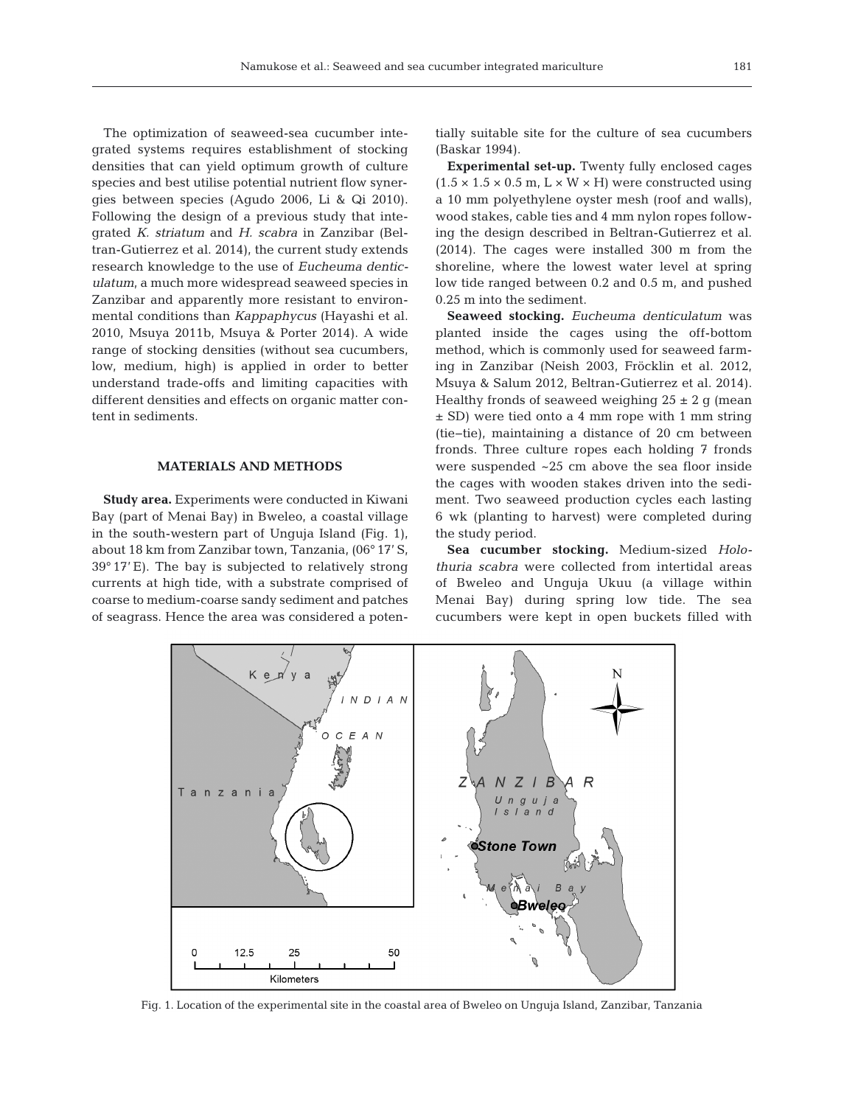The optimization of seaweed-sea cucumber integrated systems requires establishment of stocking densities that can yield optimum growth of culture species and best utilise potential nutrient flow synergies between species (Agudo 2006, Li & Qi 2010). Following the design of a previous study that integrated *K. striatum* and *H. scabra* in Zanzibar (Beltran-Gutierrez et al. 2014), the current study extends research knowledge to the use of *Eucheuma denticulatum*, a much more widespread seaweed species in Zanzibar and apparently more resistant to environmental conditions than *Kappaphycus* (Hayashi et al. 2010, Msuya 2011b, Msuya & Porter 2014). A wide range of stocking densities (without sea cucumbers, low, medium, high) is applied in order to better understand trade-offs and limiting capacities with different densities and effects on organic matter content in sediments.

# **MATERIALS AND METHODS**

**Study area.** Experiments were conducted in Kiwani Bay (part of Menai Bay) in Bweleo, a coastal village in the south-western part of Unguja Island (Fig. 1), about 18 km from Zanzibar town, Tanzania, (06° 17' S, 39° 17' E). The bay is subjected to relatively strong currents at high tide, with a substrate comprised of coarse to medium-coarse sandy sediment and patches of seagrass. Hence the area was considered a potentially suitable site for the culture of sea cucumbers (Baskar 1994).

**Experimental set-up.** Twenty fully enclosed cages  $(1.5 \times 1.5 \times 0.5 \text{ m}, L \times W \times H)$  were constructed using a 10 mm polyethylene oyster mesh (roof and walls), wood stakes, cable ties and 4 mm nylon ropes following the design described in Beltran-Gutierrez et al. (2014). The cages were installed 300 m from the shoreline, where the lowest water level at spring low tide ranged between 0.2 and 0.5 m, and pushed 0.25 m into the sediment.

**Seaweed stocking.** *Eucheuma denticulatum* was planted inside the cages using the off-bottom method, which is commonly used for seaweed farming in Zanzibar (Neish 2003, Fröcklin et al. 2012, Msuya & Salum 2012, Beltran-Gutierrez et al. 2014). Healthy fronds of seaweed weighing  $25 \pm 2$  g (mean ± SD) were tied onto a 4 mm rope with 1 mm string (tie−tie), maintaining a distance of 20 cm between fronds. Three culture ropes each holding 7 fronds were suspended ~25 cm above the sea floor inside the cages with wooden stakes driven into the sediment. Two seaweed production cycles each lasting 6 wk (planting to harvest) were completed during the study period.

Sea cucumber stocking. Medium-sized *Holothuria scabra* were collected from intertidal areas of Bweleo and Unguja Ukuu (a village within Menai Bay) during spring low tide. The sea cucumbers were kept in open buckets filled with



Fig. 1. Location of the experimental site in the coastal area of Bweleo on Unguja Island, Zanzibar, Tanzania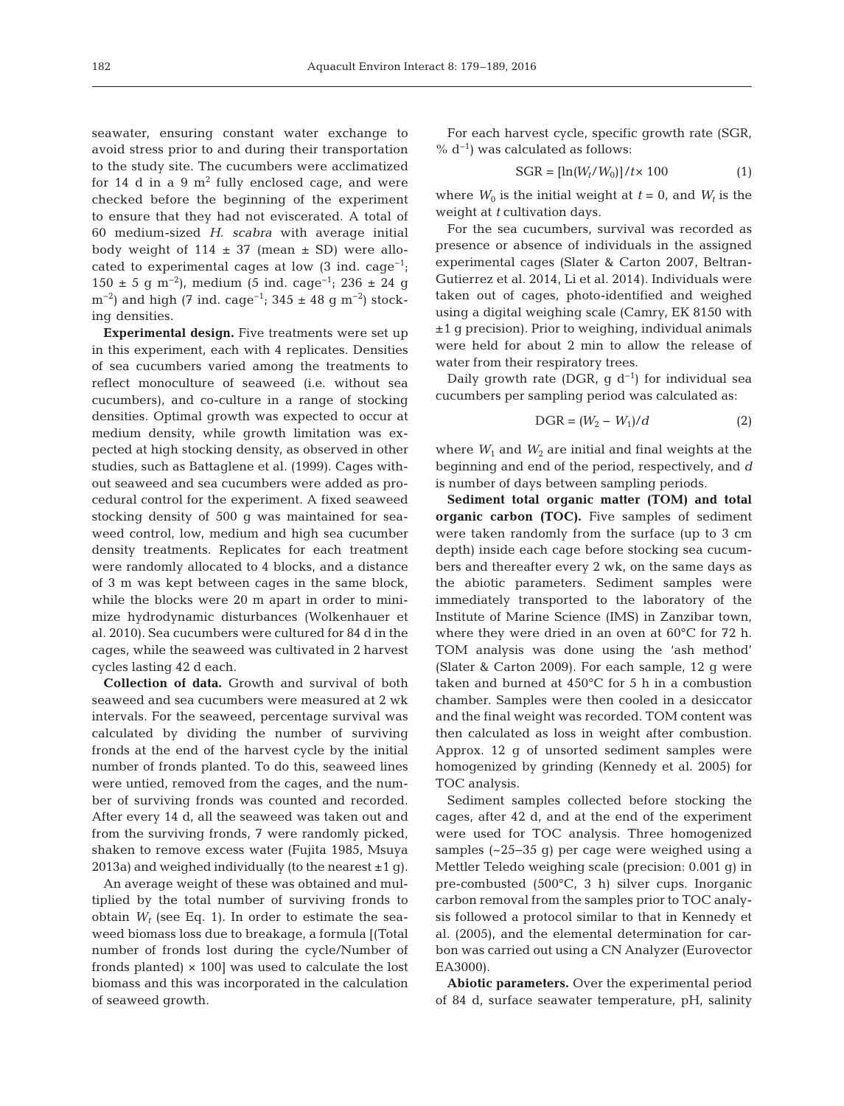seawater, ensuring constant water exchange to avoid stress prior to and during their transportation to the study site. The cucumbers were acclimatized for 14 d in a 9  $m^2$  fully enclosed cage, and were checked before the beginning of the experiment to ensure that they had not eviscerated. A total of 60 medium-sized *H. scabra* with average initial body weight of  $114 \pm 37$  (mean  $\pm$  SD) were allocated to experimental cages at low  $(3 \text{ ind. } \text{cage}^{-1})$ ; 150 ± 5 g m<sup>-2</sup>), medium (5 ind. cage<sup>-1</sup>; 236 ± 24 g m<sup>-2</sup>) and high (7 ind. cage<sup>-1</sup>; 345 ± 48 g m<sup>-2</sup>) stocking densities.

**Experimental design.** Five treatments were set up in this experiment, each with 4 replicates. Densities of sea cucumbers varied among the treatments to reflect monoculture of seaweed (i.e. without sea cucumbers), and co-culture in a range of stocking densities. Optimal growth was expected to occur at medium density, while growth limitation was expected at high stocking density, as observed in other studies, such as Battaglene et al. (1999). Cages without seaweed and sea cucumbers were added as procedural control for the experiment. A fixed seaweed stocking density of 500 g was maintained for seaweed control, low, medium and high sea cucumber density treatments. Replicates for each treatment were randomly allocated to 4 blocks, and a distance of 3 m was kept between cages in the same block, while the blocks were 20 m apart in order to minimize hydrodynamic disturbances (Wolkenhauer et al. 2010). Sea cucumbers were cultured for 84 d in the cages, while the seaweed was cultivated in 2 harvest cycles lasting 42 d each.

**Collection of data.** Growth and survival of both seaweed and sea cucumbers were measured at 2 wk intervals. For the seaweed, percentage survival was calculated by dividing the number of surviving fronds at the end of the harvest cycle by the initial number of fronds planted. To do this, seaweed lines were untied, removed from the cages, and the number of surviving fronds was counted and recorded. After every 14 d, all the seaweed was taken out and from the surviving fronds, 7 were randomly picked, shaken to remove excess water (Fujita 1985, Msuya 2013a) and weighed individually (to the nearest  $\pm 1$  g).

An average weight of these was obtained and multiplied by the total number of surviving fronds to obtain  $W_t$  (see Eq. 1). In order to estimate the seaweed biomass loss due to breakage, a formula [(Total number of fronds lost during the cycle/Number of fronds planted)  $\times$  100] was used to calculate the lost biomass and this was incorporated in the calculation of seaweed growth.

For each harvest cycle, specific growth rate (SGR, %  $d^{-1}$ ) was calculated as follows:

$$
SGR = [\ln(W_t/W_0)]/t \times 100 \tag{1}
$$

where  $W_0$  is the initial weight at  $t = 0$ , and  $W_t$  is the weight at *t* cultivation days.

For the sea cucumbers, survival was recorded as presence or absence of individuals in the assigned experimental cages (Slater & Carton 2007, Beltran-Gutierrez et al. 2014, Li et al. 2014). Individuals were taken out of cages, photo-identified and weighed using a digital weighing scale (Camry, EK 8150 with ±1 g precision). Prior to weighing, individual animals were held for about 2 min to allow the release of water from their respiratory trees.

Daily growth rate (DGR, g  $d^{-1}$ ) for individual sea cucumbers per sampling period was calculated as:

$$
DGR = (W_2 - W_1)/d \tag{2}
$$

where  $W_1$  and  $W_2$  are initial and final weights at the beginning and end of the period, respectively, and *d* is number of days between sampling periods.

**Sediment total organic matter (TOM) and total organic carbon (TOC).** Five samples of sediment were taken randomly from the surface (up to 3 cm depth) inside each cage before stocking sea cucumbers and thereafter every 2 wk, on the same days as the abiotic parameters. Sediment samples were immediately transported to the laboratory of the Institute of Marine Science (IMS) in Zanzibar town, where they were dried in an oven at 60°C for 72 h. TOM analysis was done using the 'ash method' (Slater & Carton 2009). For each sample, 12 g were taken and burned at 450°C for 5 h in a combustion chamber. Samples were then cooled in a desiccator and the final weight was recorded. TOM content was then calculated as loss in weight after combustion. Approx. 12 g of unsorted sediment samples were homogenized by grinding (Kennedy et al. 2005) for TOC analysis.

Sediment samples collected before stocking the cages, after 42 d, and at the end of the experiment were used for TOC analysis. Three homogenized samples (~25−35 g) per cage were weighed using a Mettler Teledo weighing scale (precision: 0.001 g) in pre-combusted (500°C, 3 h) silver cups. Inorganic carbon removal from the samples prior to TOC analysis followed a protocol similar to that in Kennedy et al. (2005), and the elemental determination for carbon was carried out using a CN Analyzer (Eurovector EA3000).

**Abiotic parameters.** Over the experimental period of 84 d, surface seawater temperature, pH, salinity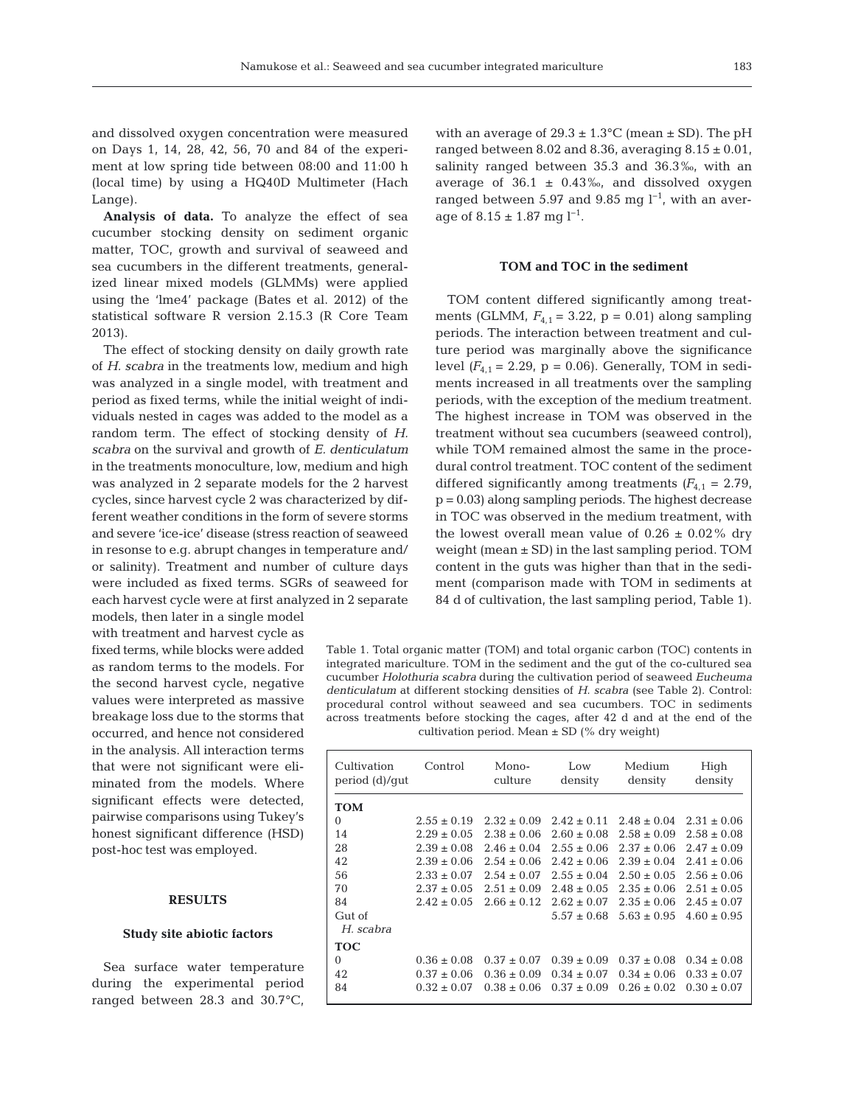and dissolved oxygen concentration were measured on Days 1, 14, 28, 42, 56, 70 and 84 of the experiment at low spring tide between 08:00 and 11:00 h (local time) by using a HQ40D Multimeter (Hach Lange).

**Analysis of data.** To analyze the effect of sea cucumber stocking density on sediment organic matter, TOC, growth and survival of seaweed and sea cucumbers in the different treatments, generalized linear mixed models (GLMMs) were applied using the 'lme4' package (Bates et al. 2012) of the statistical software R version 2.15.3 (R Core Team 2013).

The effect of stocking density on daily growth rate of *H. scabra* in the treatments low, medium and high was analyzed in a single model, with treatment and period as fixed terms, while the initial weight of individuals nested in cages was added to the model as a random term. The effect of stocking density of *H. scabra* on the survival and growth of *E. denticulatum* in the treatments monoculture, low, medium and high was analyzed in 2 separate models for the 2 harvest cycles, since harvest cycle 2 was characterized by different weather conditions in the form of severe storms and severe 'ice-ice' disease (stress reaction of seaweed in resonse to e.g. abrupt changes in temperature and/ or salinity). Treatment and number of culture days were included as fixed terms. SGRs of seaweed for each harvest cycle were at first analyzed in 2 separate

models, then later in a single model with treatment and harvest cycle as fixed terms, while blocks were added as random terms to the models. For the second harvest cycle, negative values were interpreted as massive breakage loss due to the storms that occurred, and hence not considered in the analysis. All interaction terms that were not significant were eliminated from the models. Where significant effects were detected, pairwise comparisons using Tukey's honest significant difference (HSD) post-hoc test was employed.

# **RESULTS**

# **Study site abiotic factors**

Sea surface water temperature during the experimental period ranged between 28.3 and 30.7°C,

with an average of  $29.3 \pm 1.3^{\circ}$ C (mean  $\pm$  SD). The pH ranged between 8.02 and 8.36, averaging  $8.15 \pm 0.01$ , salinity ranged between 35.3 and 36.3‰, with an average of  $36.1 \pm 0.43\%$ , and dissolved oxygen ranged between 5.97 and 9.85 mg  $l^{-1}$ , with an average of  $8.15 \pm 1.87$  mg l<sup>-1</sup>.

# **TOM and TOC in the sediment**

TOM content differed significantly among treatments (GLMM,  $F_{4,1} = 3.22$ ,  $p = 0.01$ ) along sampling periods. The interaction between treatment and culture period was marginally above the significance level  $(F_{4,1} = 2.29, p = 0.06)$ . Generally, TOM in sediments increased in all treatments over the sampling periods, with the exception of the medium treatment. The highest increase in TOM was observed in the treatment without sea cucumbers (seaweed control), while TOM remained almost the same in the procedural control treatment. TOC content of the sediment differed significantly among treatments  $(F_{4,1} = 2.79)$ , p = 0.03) along sampling periods. The highest decrease in TOC was observed in the medium treatment, with the lowest overall mean value of  $0.26 \pm 0.02\%$  dry weight (mean ± SD) in the last sampling period. TOM content in the guts was higher than that in the sediment (comparison made with TOM in sediments at 84 d of cultivation, the last sampling period, Table 1).

Table 1. Total organic matter (TOM) and total organic carbon (TOC) contents in integrated mariculture. TOM in the sediment and the gut of the co-cultured sea cucumber *Holothuria scabra* during the cultivation period of seaweed *Eucheuma denticulatum* at different stocking densities of *H. scabra* (see Table 2). Control: procedural control without seaweed and sea cucumbers. TOC in sediments across treatments before stocking the cages, after 42 d and at the end of the cultivation period. Mean  $\pm$  SD (% dry weight)

| Cultivation<br>period (d)/qut | Control         | Mono-<br>culture | Low<br>density  | Medium<br>density | High<br>density |
|-------------------------------|-----------------|------------------|-----------------|-------------------|-----------------|
| <b>TOM</b>                    |                 |                  |                 |                   |                 |
| $\Omega$                      | $2.55 \pm 0.19$ | $2.32 \pm 0.09$  | $2.42 \pm 0.11$ | $2.48 \pm 0.04$   | $2.31 \pm 0.06$ |
| 14                            | $2.29 \pm 0.05$ | $2.38 \pm 0.06$  | $2.60 \pm 0.08$ | $2.58 \pm 0.09$   | $2.58 \pm 0.08$ |
| 28                            | $2.39 \pm 0.08$ | $2.46 \pm 0.04$  | $2.55 \pm 0.06$ | $2.37 \pm 0.06$   | $2.47 \pm 0.09$ |
| 42                            | $2.39 \pm 0.06$ | $2.54 \pm 0.06$  | $2.42 \pm 0.06$ | $2.39 \pm 0.04$   | $2.41 \pm 0.06$ |
| 56                            | $2.33 \pm 0.07$ | $2.54 \pm 0.07$  | $2.55 \pm 0.04$ | $2.50 \pm 0.05$   | $2.56 \pm 0.06$ |
| 70                            | $2.37 \pm 0.05$ | $2.51 \pm 0.09$  | $2.48 \pm 0.05$ | $2.35 \pm 0.06$   | $2.51 \pm 0.05$ |
| 84                            | $2.42 \pm 0.05$ | $2.66 \pm 0.12$  | $2.62 \pm 0.07$ | $2.35 \pm 0.06$   | $2.45 \pm 0.07$ |
| Gut of                        |                 |                  | $5.57 \pm 0.68$ | $5.63 \pm 0.95$   | $4.60 \pm 0.95$ |
| H. scabra                     |                 |                  |                 |                   |                 |
| TOC                           |                 |                  |                 |                   |                 |
| $\Omega$                      | $0.36 \pm 0.08$ | $0.37 \pm 0.07$  | $0.39 \pm 0.09$ | $0.37 \pm 0.08$   | $0.34 \pm 0.08$ |
| 42                            | $0.37 \pm 0.06$ | $0.36 \pm 0.09$  | $0.34 \pm 0.07$ | $0.34 \pm 0.06$   | $0.33 \pm 0.07$ |
| 84                            | $0.32 \pm 0.07$ | $0.38 \pm 0.06$  | $0.37 \pm 0.09$ | $0.26 \pm 0.02$   | $0.30 \pm 0.07$ |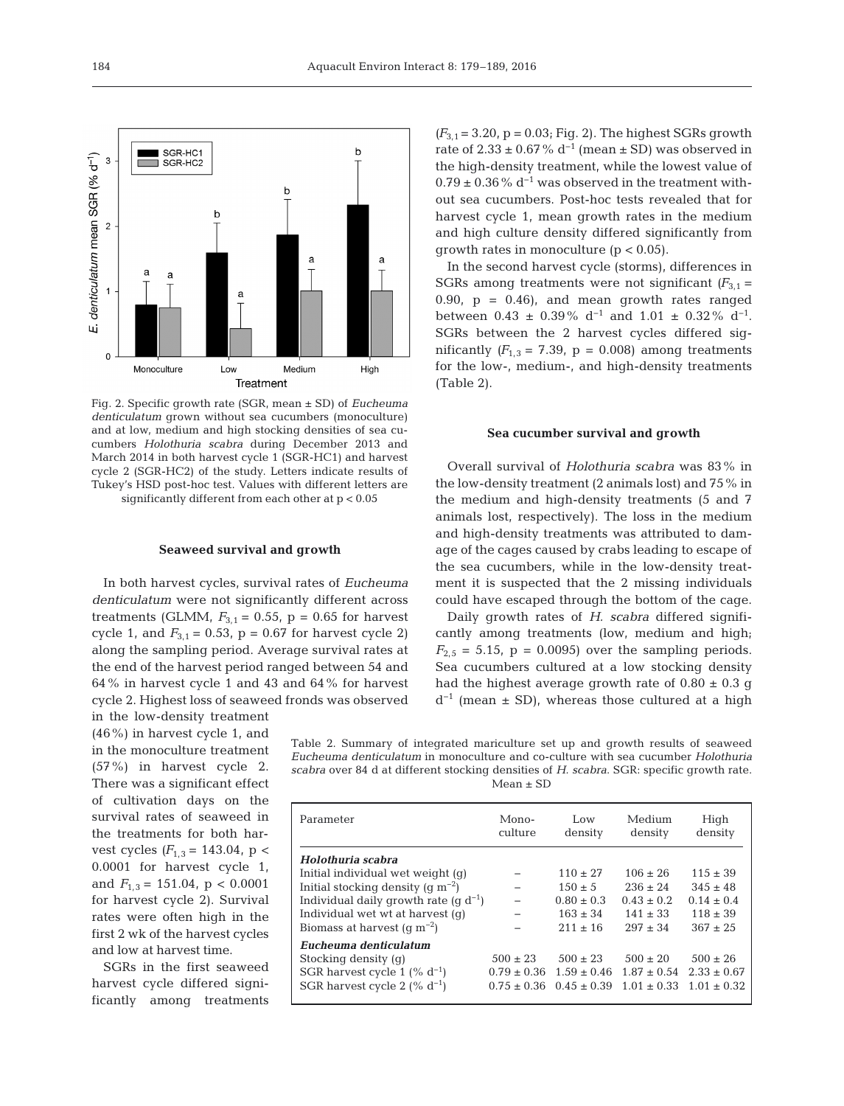

Fig. 2. Specific growth rate (SGR, mean ± SD) of *Eucheuma denticulatum* grown without sea cucumbers (monoculture) and at low, medium and high stocking densities of sea cucumbers *Holothuria scabra* during December 2013 and March 2014 in both harvest cycle 1 (SGR-HC1) and harvest cycle 2 (SGR-HC2) of the study. Letters indicate results of Tukey's HSD post-hoc test. Values with different letters are significantly different from each other at p < 0.05

# **Seaweed survival and growth**

In both harvest cycles, survival rates of *Eucheuma denticulatum* were not significantly different across treatments (GLMM,  $F_{3,1} = 0.55$ ,  $p = 0.65$  for harvest cycle 1, and  $F_{3,1} = 0.53$ ,  $p = 0.67$  for harvest cycle 2) along the sampling period. Average survival rates at the end of the harvest period ranged between 54 and 64% in harvest cycle 1 and 43 and 64% for harvest cycle 2. Highest loss of seaweed fronds was observed

in the low-density treatment (46%) in harvest cycle 1, and in the monoculture treatment (57%) in harvest cycle 2. There was a significant effect of cultivation days on the survival rates of seaweed in the treatments for both harvest cycles  $(F_{1,3} = 143.04, p <$ 0.0001 for harvest cycle 1, and  $F_{1,3} = 151.04$ , p < 0.0001 for harvest cycle 2). Survival rates were often high in the first 2 wk of the harvest cycles and low at harvest time.

SGRs in the first seaweed harvest cycle differed significantly among treatments  $(F_{3,1} = 3.20, p = 0.03; Fig. 2)$ . The highest SGRs growth rate of  $2.33 \pm 0.67\%$  d<sup>-1</sup> (mean  $\pm$  SD) was observed in the high-density treatment, while the lowest value of  $0.79 \pm 0.36$ % d<sup>-1</sup> was observed in the treatment without sea cucumbers. Post-hoc tests revealed that for harvest cycle 1, mean growth rates in the medium and high culture density differed significantly from growth rates in monoculture  $(p < 0.05)$ .

In the second harvest cycle (storms), differences in SGRs among treatments were not significant  $(F_{3,1} =$ 0.90,  $p = 0.46$ , and mean growth rates ranged between  $0.43 \pm 0.39\%$  d<sup>-1</sup> and  $1.01 \pm 0.32\%$  d<sup>-1</sup>. SGRs between the 2 harvest cycles differed significantly  $(F_{1,3} = 7.39, p = 0.008)$  among treatments for the low-, medium-, and high-density treatments (Table 2).

### **Sea cucumber survival and growth**

Overall survival of *Holothuria scabra* was 83% in the low-density treatment (2 animals lost) and 75% in the medium and high-density treatments (5 and 7 animals lost, respectively). The loss in the medium and high-density treatments was attributed to damage of the cages caused by crabs leading to escape of the sea cucumbers, while in the low-density treatment it is suspected that the 2 missing individuals could have escaped through the bottom of the cage.

Daily growth rates of *H. scabra* differed significantly among treatments (low, medium and high;  $F_{2.5}$  = 5.15, p = 0.0095) over the sampling periods. Sea cucumbers cultured at a low stocking density had the highest average growth rate of  $0.80 \pm 0.3$  g  $d^{-1}$  (mean ± SD), whereas those cultured at a high

Table 2. Summary of integrated mariculture set up and growth results of seaweed *Eucheuma denticulatum* in monoculture and co-culture with sea cucumber *Holothuria scabra* over 84 d at different stocking densities of *H. scabra*. SGR: specific growth rate. Mean ± SD

| Parameter                                 | Mono-<br>culture | Low<br>density  | Medium<br>density | High<br>density |
|-------------------------------------------|------------------|-----------------|-------------------|-----------------|
| Holothuria scabra                         |                  |                 |                   |                 |
| Initial individual wet weight $(q)$       |                  | $110 + 27$      | $106 + 26$        | $115 \pm 39$    |
| Initial stocking density (q $m^{-2}$ )    |                  | $150 \pm 5$     | $236 + 24$        | $345 \pm 48$    |
| Individual daily growth rate $(q d^{-1})$ |                  | $0.80 + 0.3$    | $0.43 + 0.2$      | $0.14 + 0.4$    |
| Individual wet wt at harvest (q)          |                  | $163 \pm 34$    | $141 + 33$        | $118 \pm 39$    |
| Biomass at harvest $(q m^{-2})$           |                  | $211 + 16$      | $297 + 34$        | $367 \pm 25$    |
| Eucheuma denticulatum                     |                  |                 |                   |                 |
| Stocking density (q)                      | $500 \pm 23$     | $500 + 23$      | $500 \pm 20$      | $500 \pm 26$    |
| SGR harvest cycle 1 (% $d^{-1}$ )         | $0.79 \pm 0.36$  | $1.59 \pm 0.46$ | $1.87 \pm 0.54$   | $2.33 \pm 0.67$ |
| SGR harvest cycle 2 $(\% d^{-1})$         | $0.75 + 0.36$    | $0.45 \pm 0.39$ | $1.01 + 0.33$     | $1.01 \pm 0.32$ |
|                                           |                  |                 |                   |                 |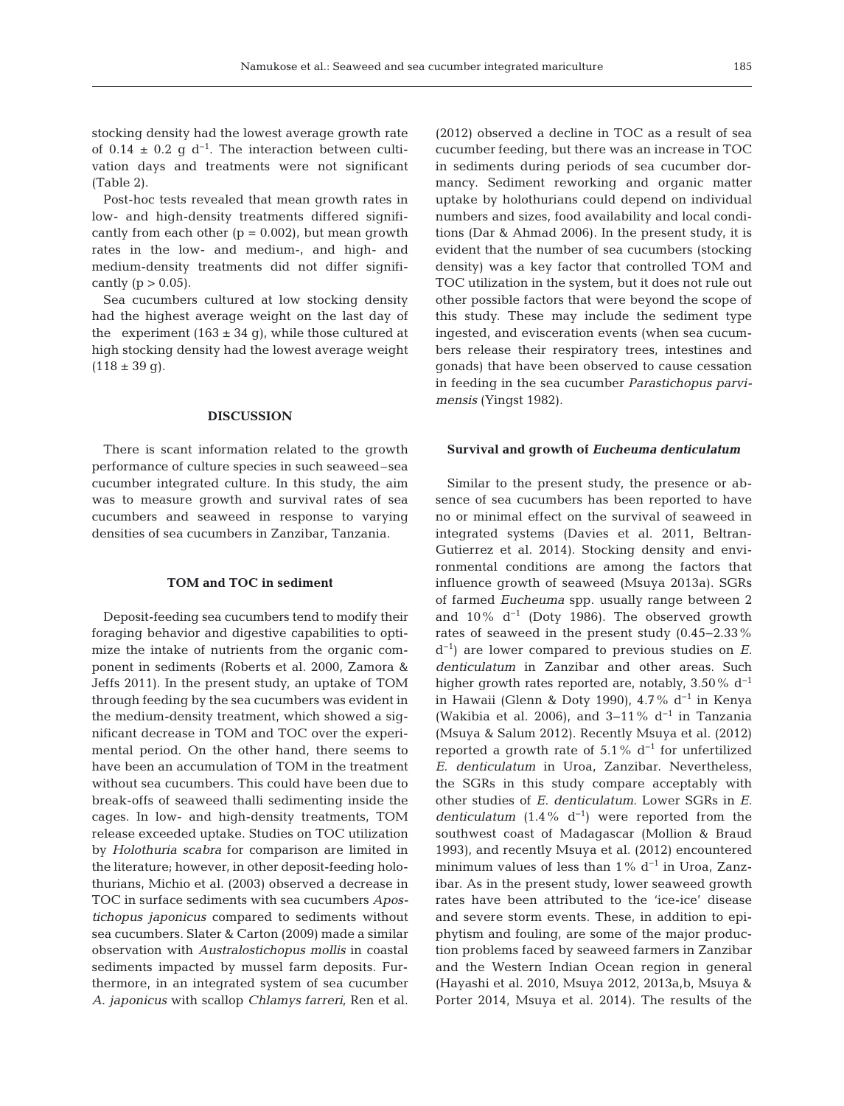stocking density had the lowest average growth rate of 0.14  $\pm$  0.2 g d<sup>-1</sup>. The interaction between cultivation days and treatments were not significant (Table 2).

Post-hoc tests revealed that mean growth rates in low- and high-density treatments differed significantly from each other  $(p = 0.002)$ , but mean growth rates in the low- and medium-, and high- and medium-density treatments did not differ significantly ( $p > 0.05$ ).

Sea cucumbers cultured at low stocking density had the highest average weight on the last day of the experiment  $(163 \pm 34 \text{ g})$ , while those cultured at high stocking density had the lowest average weight  $(118 \pm 39$  g).

# **DISCUSSION**

There is scant information related to the growth performance of culture species in such seaweed–sea cucumber integrated culture. In this study, the aim was to measure growth and survival rates of sea cucumbers and seaweed in response to varying densities of sea cucumbers in Zanzibar, Tanzania.

# **TOM and TOC in sediment**

Deposit-feeding sea cucumbers tend to modify their foraging behavior and digestive capabilities to optimize the intake of nutrients from the organic component in sediments (Roberts et al. 2000, Zamora & Jeffs 2011). In the present study, an uptake of TOM through feeding by the sea cucumbers was evident in the medium-density treatment, which showed a significant decrease in TOM and TOC over the experimental period. On the other hand, there seems to have been an accumulation of TOM in the treatment without sea cucumbers. This could have been due to break-offs of seaweed thalli sedimenting inside the cages. In low- and high-density treatments, TOM release exceeded uptake. Studies on TOC utilization by *Holothuria scabra* for comparison are limited in the literature; however, in other deposit-feeding holothurians, Michio et al. (2003) observed a decrease in TOC in surface sediments with sea cucumbers *Apostichopus japonicus* compared to sediments without sea cucumbers. Slater & Carton (2009) made a similar observation with *Australostichopus mollis* in coastal sediments impacted by mussel farm deposits. Furthermore, in an integrated system of sea cucumber *A. japonicus* with scallop *Chlamys farreri*, Ren et al.

(2012) observed a decline in TOC as a result of sea cucumber feeding, but there was an increase in TOC in sediments during periods of sea cucumber dormancy. Sediment reworking and organic matter uptake by holothurians could depend on individual numbers and sizes, food availability and local conditions (Dar & Ahmad 2006). In the present study, it is evident that the number of sea cucumbers (stocking density) was a key factor that controlled TOM and TOC utilization in the system, but it does not rule out other possible factors that were beyond the scope of this study. These may include the sediment type ingested, and evisceration events (when sea cucumbers release their respiratory trees, intestines and gonads) that have been observed to cause cessation in feeding in the sea cucumber *Parastichopus parvimensis* (Yingst 1982).

# **Survival and growth of** *Eucheuma denticulatum*

Similar to the present study, the presence or ab sence of sea cucumbers has been reported to have no or minimal effect on the survival of seaweed in integrated systems (Davies et al. 2011, Beltran-Gutierrez et al. 2014). Stocking density and environmental conditions are among the factors that influence growth of seaweed (Msuya 2013a). SGRs of farmed *Eucheuma* spp. usually range between 2 and 10%  $d^{-1}$  (Doty 1986). The observed growth rates of seaweed in the present study (0.45−2.33% d−1) are lower compared to previous studies on *E. denticulatum* in Zanzibar and other areas. Such higher growth rates reported are, notably, 3.50% d−1 in Hawaii (Glenn & Doty 1990), 4.7% d−1 in Kenya (Wakibia et al. 2006), and 3−11% d−1 in Tanzania (Msuya & Salum 2012). Recently Msuya et al. (2012) reported a growth rate of  $5.1\%$  d<sup>-1</sup> for unfertilized *E*. *denticulatum* in Uroa, Zanzibar. Nevertheless, the SGRs in this study compare acceptably with other studies of *E. denticulatum*. Lower SGRs in *E. denticulatum* (1.4%  $d^{-1}$ ) were reported from the southwest coast of Madagascar (Mollion & Braud 1993), and recently Msuya et al. (2012) encountered minimum values of less than  $1\%$  d<sup>-1</sup> in Uroa, Zanzibar. As in the present study, lower seaweed growth rates have been attributed to the 'ice-ice' disease and severe storm events. These, in addition to epiphytism and fouling, are some of the major production problems faced by seaweed farmers in Zanzibar and the Western Indian Ocean region in general (Hayashi et al. 2010, Msuya 2012, 2013a,b, Msuya & Porter 2014, Msuya et al. 2014). The results of the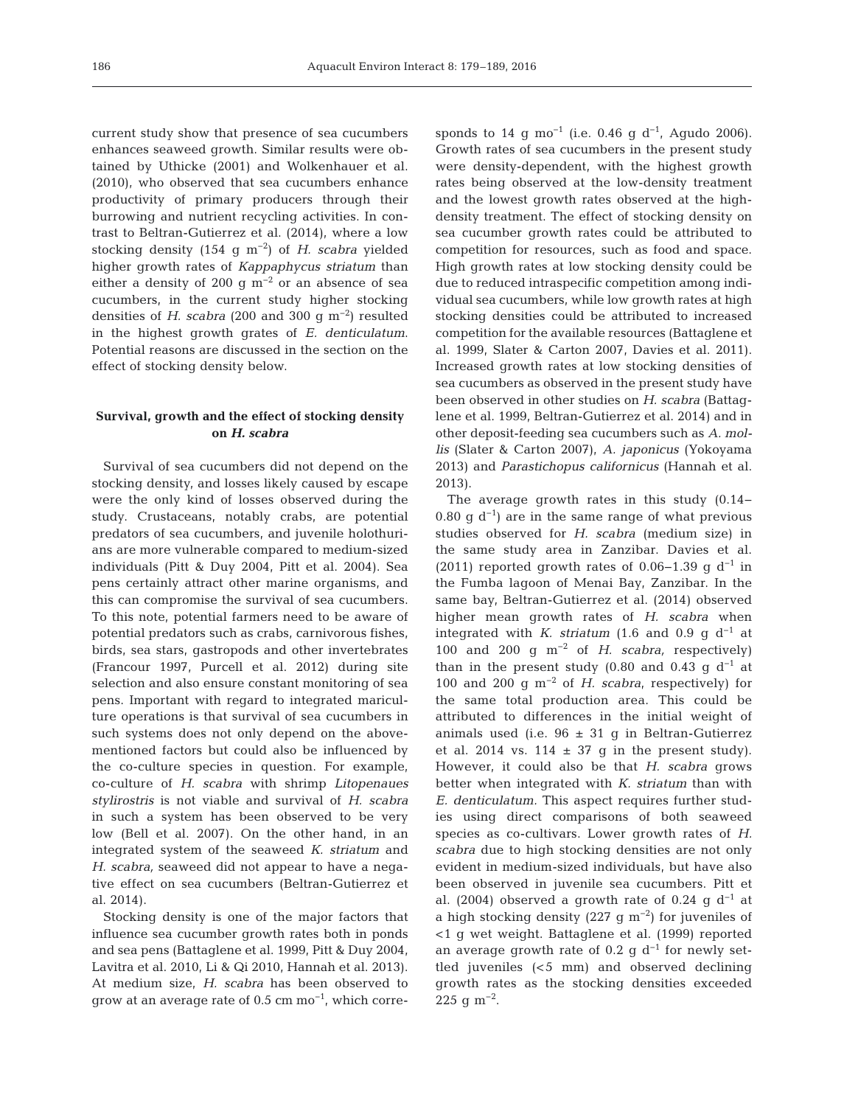current study show that presence of sea cucumbers enhances seaweed growth. Similar results were obtained by Uthicke (2001) and Wolkenhauer et al. (2010), who observed that sea cucumbers enhance productivity of primary producers through their burrowing and nutrient recycling activities. In contrast to Beltran-Gutierrez et al. (2014), where a low stocking density (154 g m−2) of *H. scabra* yielded higher growth rates of *Kappaphycus striatum* than either a density of 200 g  $m^{-2}$  or an absence of sea cucumbers, in the current study higher stocking densities of *H. scabra* (200 and 300 g  $m^{-2}$ ) resulted in the highest growth grates of *E. denticulatum*. Potential reasons are discussed in the section on the effect of stocking density below.

# **Survival, growth and the effect of stocking density on** *H. scabra*

Survival of sea cucumbers did not depend on the stocking density, and losses likely caused by escape were the only kind of losses observed during the study. Crustaceans, notably crabs, are potential predators of sea cucumbers, and juvenile holothurians are more vulnerable compared to medium-sized individuals (Pitt & Duy 2004, Pitt et al. 2004). Sea pens certainly attract other marine organisms, and this can compromise the survival of sea cucumbers. To this note, potential farmers need to be aware of potential predators such as crabs, carnivorous fishes, birds, sea stars, gastropods and other invertebrates (Francour 1997, Purcell et al. 2012) during site selection and also ensure constant monitoring of sea pens. Important with regard to integrated mariculture operations is that survival of sea cucumbers in such systems does not only depend on the abovementioned factors but could also be influenced by the co-culture species in question. For example, co-culture of *H. scabra* with shrimp *Litopenaues stylirostris* is not viable and survival of *H. scabra* in such a system has been observed to be very low (Bell et al. 2007). On the other hand, in an integrated system of the seaweed *K. striatum* and *H. scabra,* seaweed did not appear to have a negative effect on sea cucumbers (Beltran-Gutierrez et al. 2014).

Stocking density is one of the major factors that influence sea cucumber growth rates both in ponds and sea pens (Battaglene et al. 1999, Pitt & Duy 2004, Lavitra et al. 2010, Li & Qi 2010, Hannah et al. 2013). At medium size, *H. scabra* has been observed to grow at an average rate of  $0.5 \text{ cm} \text{ mo}^{-1}$ , which corresponds to 14 g mo<sup>-1</sup> (i.e. 0.46 g d<sup>-1</sup>, Agudo 2006). Growth rates of sea cucumbers in the present study were density-dependent, with the highest growth rates being observed at the low-density treatment and the lowest growth rates observed at the highdensity treatment. The effect of stocking density on sea cucumber growth rates could be attributed to competition for resources, such as food and space. High growth rates at low stocking density could be due to reduced intraspecific competition among individual sea cucumbers, while low growth rates at high stocking densities could be attributed to increased competition for the available resources (Battaglene et al. 1999, Slater & Carton 2007, Davies et al. 2011). Increased growth rates at low stocking densities of sea cucumbers as observed in the present study have been observed in other studies on *H. scabra* (Battaglene et al. 1999, Beltran-Gutierrez et al. 2014) and in other deposit-feeding sea cucumbers such as *A. mollis* (Slater & Carton 2007), *A. japonicus* (Yokoyama 2013) and *Parastichopus californicus* (Hannah et al. 2013).

The average growth rates in this study (0.14− 0.80 g  $d^{-1}$ ) are in the same range of what previous studies observed for *H. scabra* (medium size) in the same study area in Zanzibar. Davies et al. (2011) reported growth rates of 0.06–1.39 g d<sup>-1</sup> in the Fumba lagoon of Menai Bay, Zanzibar. In the same bay, Beltran-Gutierrez et al. (2014) observed higher mean growth rates of *H. scabra* when integrated with *K. striatum* (1.6 and 0.9 g d<sup>-1</sup> at 100 and 200 g m−2 of *H. scabra,* respectively) than in the present study (0.80 and 0.43 g  $d^{-1}$  at 100 and 200 g m−2 of *H. scabra*, respectively) for the same total production area. This could be attributed to differences in the initial weight of animals used (i.e.  $96 \pm 31$  g in Beltran-Gutierrez et al. 2014 vs. 114  $\pm$  37 g in the present study). However, it could also be that *H. scabra* grows better when integrated with *K. striatum* than with *E. denticulatum.* This aspect requires further studies using direct comparisons of both seaweed species as co-cultivars. Lower growth rates of *H. scabra* due to high stocking densities are not only evident in medium-sized individuals, but have also been observed in juvenile sea cucumbers. Pitt et al. (2004) observed a growth rate of 0.24 g d<sup>-1</sup> at a high stocking density (227 g m−2) for juveniles of <1 g wet weight. Battaglene et al. (1999) reported an average growth rate of 0.2 g  $d^{-1}$  for newly settled juveniles (<5 mm) and observed declining growth rates as the stocking densities exceeded 225 q m<sup>-2</sup>.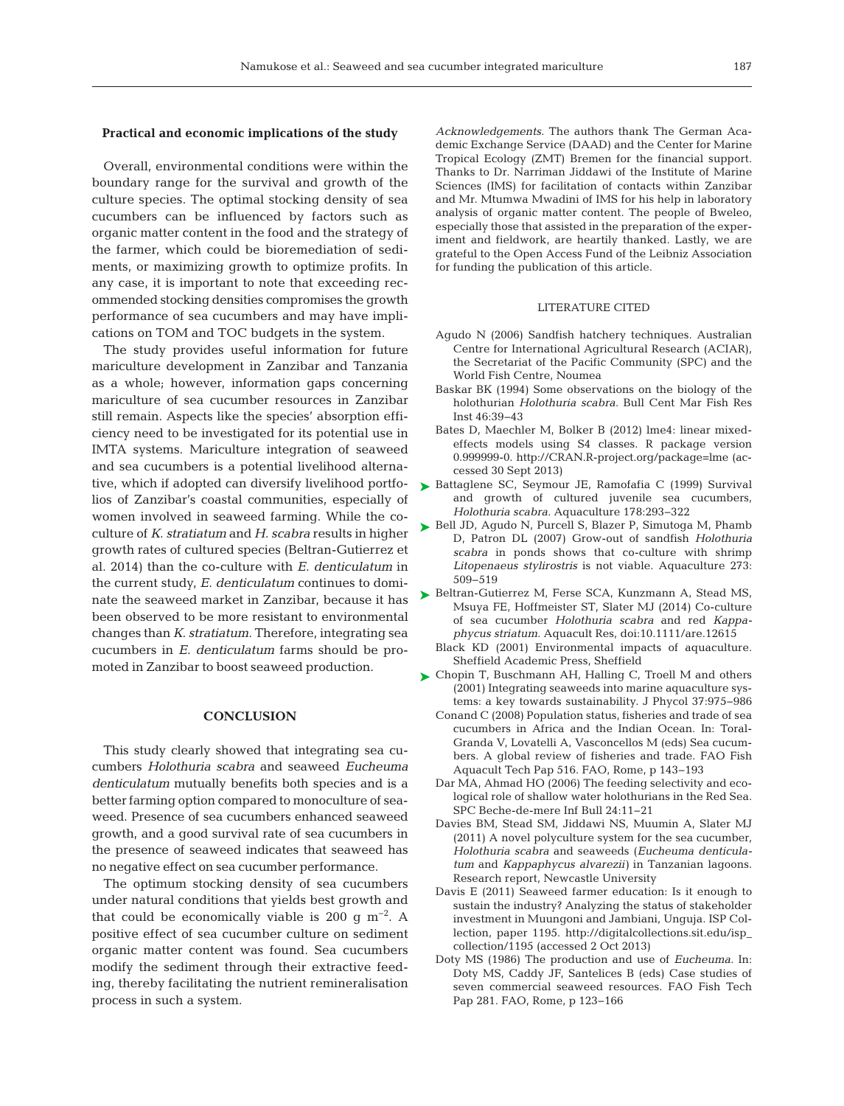# **Practical and economic implications of the study**

Overall, environmental conditions were within the boundary range for the survival and growth of the culture species. The optimal stocking density of sea cucumbers can be influenced by factors such as organic matter content in the food and the strategy of the farmer, which could be bioremediation of sediments, or maximizing growth to optimize profits. In any case, it is important to note that exceeding recommended stocking densities compromises the growth performance of sea cucumbers and may have implications on TOM and TOC budgets in the system.

The study provides useful information for future mariculture development in Zanzibar and Tanzania as a whole; however, information gaps concerning mariculture of sea cucumber resources in Zanzibar still remain. Aspects like the species' absorption efficiency need to be investigated for its potential use in IMTA systems. Mariculture integration of seaweed and sea cucumbers is a potential livelihood alternative, which if adopted can diversify livelihood portfolios of Zanzibar's coastal communities, especially of women involved in seaweed farming. While the coculture of *K. stratiatum* and *H. scabra* results in higher growth rates of cultured species (Beltran-Gutierrez et al. 2014) than the co-culture with *E. denticulatum* in the current study, *E. denticulatum* continues to dominate the seaweed market in Zanzibar, because it has been observed to be more resistant to environmental changes than *K. stratiatum*. Therefore, integrating sea cucumbers in *E. denticulatum* farms should be promoted in Zanzibar to boost seaweed production.

# **CONCLUSION**

This study clearly showed that integrating sea cucumbers *Holothuria scabra* and seaweed *Eucheuma denticulatum* mutually benefits both species and is a better farming option compared to monoculture of seaweed. Presence of sea cucumbers enhanced seaweed growth, and a good survival rate of sea cucumbers in the presence of seaweed indicates that seaweed has no negative effect on sea cucumber performance.

The optimum stocking density of sea cucumbers under natural conditions that yields best growth and that could be economically viable is 200 g m<sup>-2</sup>. A positive effect of sea cucumber culture on sediment organic matter content was found. Sea cucumbers modify the sediment through their extractive feeding, thereby facilitating the nutrient remineralisation process in such a system.

*Acknowledgements.* The authors thank The German Academic Exchange Service (DAAD) and the Center for Marine Tropical Ecology (ZMT) Bremen for the financial support. Thanks to Dr. Narriman Jiddawi of the Institute of Marine Sciences (IMS) for facilitation of contacts within Zanzibar and Mr. Mtumwa Mwadini of IMS for his help in laboratory analysis of organic matter content. The people of Bweleo, especially those that assisted in the preparation of the experiment and fieldwork, are heartily thanked. Lastly, we are grateful to the Open Access Fund of the Leibniz Association for funding the publication of this article.

# LITERATURE CITED

- Agudo N (2006) Sandfish hatchery techniques. Australian Centre for International Agricultural Research (ACIAR), the Secretariat of the Pacific Community (SPC) and the World Fish Centre, Noumea
- Baskar BK (1994) Some observations on the biology of the holothurian *Holothuria scabra.* Bull Cent Mar Fish Res Inst 46: 39−43
- Bates D, Maechler M, Bolker B (2012) lme4: linear mixedeffects models using S4 classes. R package version 0.999999-0. http://CRAN.R-project.org/package=lme (accessed 30 Sept 2013)
- ▶ [Battaglene SC, Seymour JE, Ramofafia C \(1999\) Survival](http://dx.doi.org/10.1016/S0044-8486(99)00130-1) and growth of cultured juvenile sea cucumbers, *Holothuria scabra.* Aquaculture 178:293-322
- ► [Bell JD, Agudo N, Purcell S, Blazer P, Simutoga M, Phamb](http://dx.doi.org/10.1016/j.aquaculture.2007.07.015) D, Patron DL (2007) Grow-out of sandfish *Holothuria scabra* in ponds shows that co-culture with shrimp *Litopenaeus stylirostris* is not viable. Aquaculture 273: 509−519
- ▶ [Beltran-Gutierrez M, Ferse SCA, Kunzmann A, Stead MS,](http://dx.doi.org/10.1111/are.12615) Msuya FE, Hoffmeister ST, Slater MJ (2014) Co-culture of sea cucumber *Holothuria scabra* and red *Kappa phycus striatum.* Aquacult Res, doi: 10.1111/are.12615
	- Black KD (2001) Environmental impacts of aquaculture. Sheffield Academic Press, Sheffield
- ► [Chopin T, Buschmann AH, Halling C, Troell M and others](http://dx.doi.org/10.1051/alr/2011002) (2001) Integrating seaweeds into marine aquaculture sys tems: a key towards sustainability. J Phycol 37:975−986
	- Conand C (2008) Population status, fisheries and trade of sea cucumbers in Africa and the Indian Ocean. In: Toral-Granda V, Lovatelli A, Vasconcellos M (eds) Sea cucumbers. A global review of fisheries and trade. FAO Fish Aquacult Tech Pap 516. FAO, Rome, p 143−193
	- Dar MA, Ahmad HO (2006) The feeding selectivity and ecological role of shallow water holothurians in the Red Sea. SPC Beche-de-mere Inf Bull 24: 11−21
	- Davies BM, Stead SM, Jiddawi NS, Muumin A, Slater MJ (2011) A novel polyculture system for the sea cucumber, *Holothuria scabra* and seaweeds (*Eucheuma denticulatum* and *Kappaphycus alvarezii)* in Tanzanian lagoons. Research report, Newcastle University
	- Davis E (2011) Seaweed farmer education: Is it enough to sustain the industry? Analyzing the status of stakeholder investment in Muungoni and Jambiani, Unguja. ISP Collection, paper 1195. http://digitalcollections.sit.edu/isp\_ collection/1195 (accessed 2 Oct 2013)
	- Doty MS (1986) The production and use of *Eucheuma.* In: Doty MS, Caddy JF, Santelices B (eds) Case studies of seven commercial seaweed resources. FAO Fish Tech Pap 281. FAO, Rome, p 123−166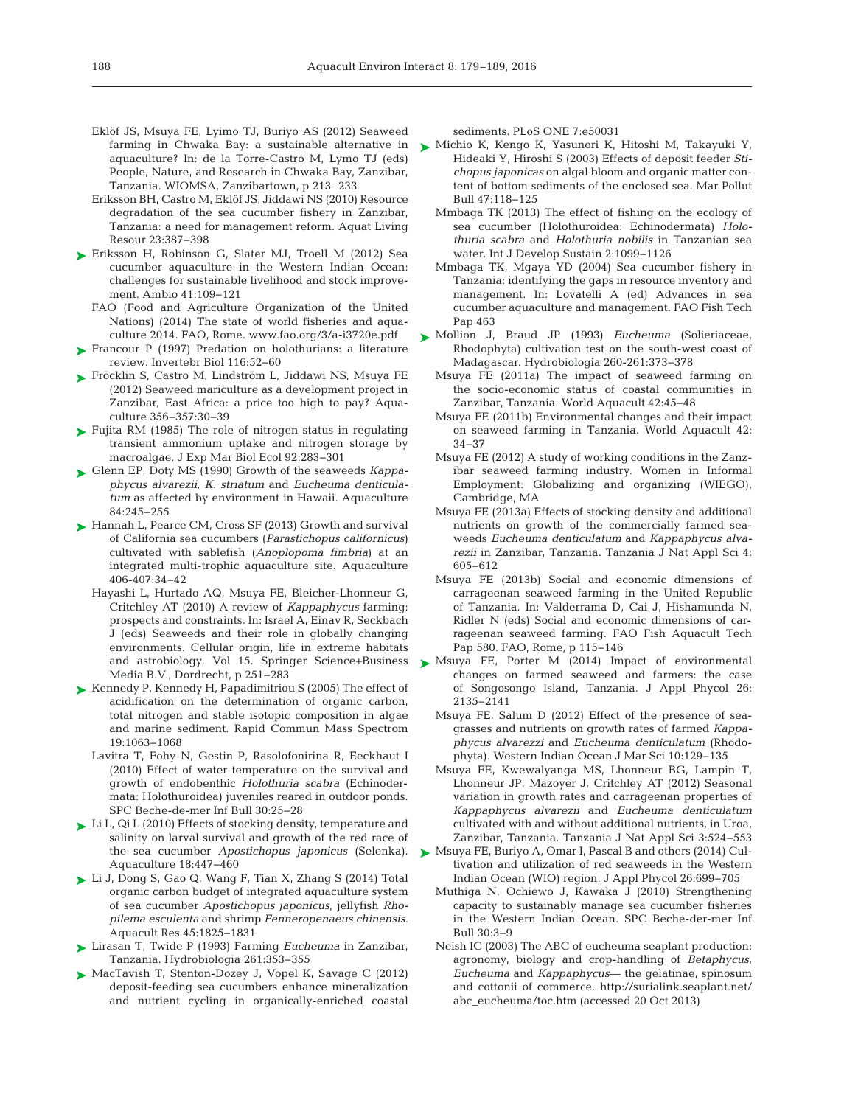- Eklöf JS, Msuya FE, Lyimo TJ, Buriyo AS (2012) Seaweed aquaculture? In:de la Torre-Castro M, Lymo TJ (eds) People, Nature, and Research in Chwaka Bay, Zanzibar, Tanzania. WIOMSA, Zanzibartown, p 213–233
- Eriksson BH, Castro M, Eklöf JS, Jiddawi NS (2010) Resource degradation of the sea cucumber fishery in Zanzibar, Tanzania: a need for management reform. Aquat Living Resour 23: 387−398
- [Eriksson H, Robinson G, Slater MJ, Troell M \(2012\) Sea](http://dx.doi.org/10.1007/s13280-011-0195-8) ➤ cucumber aquaculture in the Western Indian Ocean: challenges for sustainable livelihood and stock improvement. Ambio 41: 109−121
	- FAO (Food and Agriculture Organization of the United Nations) (2014) The state of world fisheries and aquaculture 2014. FAO, Rome. www.fao.org/3/a-i3720e.pdf
- ► Francour P (1997) Predation on holothurians: a literature review. Invertebr Biol 116: 52−60
- ► [Fröcklin S, Castro M, Lindström L, Jiddawi NS, Msuya FE](http://dx.doi.org/10.1016/j.aquaculture.2012.05.039) (2012) Seaweed mariculture as a development project in Zanzibar, East Africa: a price too high to pay? Aquaculture 356−357: 30−39
- [Fujita RM \(1985\) The role of nitrogen status in regulating](http://dx.doi.org/10.1016/0022-0981(85)90100-5) ➤ transient ammonium uptake and nitrogen storage by macroalgae. J Exp Mar Biol Ecol 92: 283−301
- [Glenn EP, Doty MS \(1990\) Growth of the seaweeds](http://dx.doi.org/10.1016/0044-8486(90)90090-A) *Kappa-*➤ *phycus alvarezii, K. striatum* and *Eucheuma denticulatum* as affected by environment in Hawaii. Aquaculture 84: 245−255
- ► [Hannah L, Pearce CM, Cross SF \(2013\) Growth and survival](http://dx.doi.org/10.1016/j.aquaculture.2013.04.022) of California sea cucumbers (*Parastichopus californicus*) cultivated with sablefish (*Anoplopoma fimbria*) at an integrated multi-trophic aquaculture site. Aquaculture 406-407: 34−42
	- Hayashi L, Hurtado AQ, Msuya FE, Bleicher-Lhonneur G, Critchley AT (2010) A review of *Kappaphycus* farming: prospects and constraints. In: Israel A, Einav R, Seckbach J (eds) Seaweeds and their role in globally changing environments. Cellular origin, life in extreme habitats and astrobiology, Vol 15. Springer Science+Business Media B.V., Dordrecht, p 251−283
- ► [Kennedy P, Kennedy H, Papadimitriou S \(2005\) The effect of](http://dx.doi.org/10.1002/rcm.1889) acidification on the determination of organic carbon, total nitrogen and stable isotopic composition in algae and marine sediment. Rapid Commun Mass Spectrom 19: 1063−1068
	- Lavitra T, Fohy N, Gestin P, Rasolofonirina R, Eeckhaut I (2010) Effect of water temperature on the survival and growth of endobenthic *Holothuria scabra* (Echinodermata: Holothuroidea) juveniles reared in outdoor ponds. SPC Beche-de-mer Inf Bull 30:25-28
- [Li L, Qi L \(2010\) Effects of stocking density, temperature and](http://dx.doi.org/10.1007/s10499-009-9256-4) ➤ salinity on larval survival and growth of the red race of the sea cucumber *Apostichopus japonicus* (Selenka). Aquaculture 18: 447−460
- [Li J, Dong S, Gao Q, Wang F, Tian X, Zhang S \(2014\) Total](http://dx.doi.org/10.1111/are.12131) ➤ organic carbon budget of integrated aquaculture system of sea cucumber *Apostichopus japonicus*, jellyfish *Rho pilema esculenta* and shrimp *Fenneropenaeus chinensis.* Aquacult Res 45: 1825−1831
- [Lirasan T, Twide P \(1993\) Farming](http://dx.doi.org/10.1007/BF00049040) *Eucheuma* in Zanzibar, ➤ Tanzania. Hydrobiologia 261: 353−355
- ► [MacTavish T, Stenton-Dozey J, Vopel K, Savage C \(2012\)](http://dx.doi.org/10.1371/journal.pone.0050031) deposit-feeding sea cucumbers enhance mineralization and nutrient cycling in organically-enriched coastal

sediments. PLoS ONE 7:e50031

- farming in Chwaka Bay: a sustainable alternative in  $\blacktriangleright$  [Michio K, Kengo K, Yasunori K, Hitoshi M, Takayuki Y,](http://dx.doi.org/10.1016/S0025-326X(02)00411-3) Hideaki Y, Hiroshi S (2003) Effects of deposit feeder *Stichopus japonicas* on algal bloom and organic matter content of bottom sediments of the enclosed sea. Mar Pollut Bull 47: 118−125
	- Mmbaga TK (2013) The effect of fishing on the ecology of sea cucumber (Holothuroidea: Echinodermata) *Holothuria scabra* and *Holothuria nobilis* in Tanzanian sea water. Int J Develop Sustain 2: 1099−1126
	- Mmbaga TK, Mgaya YD (2004) Sea cucumber fishery in Tanzania: identifying the gaps in resource inventory and management. In:Lovatelli A (ed) Advances in sea cucumber aquaculture and management. FAO Fish Tech Pap 463
	- [Mollion J, Braud JP \(1993\)](http://dx.doi.org/10.1007/BF00049043) *Eucheuma* (Solieriaceae, ➤ Rhodophyta) cultivation test on the south-west coast of Madagascar. Hydrobiologia 260-261: 373−378
		- Msuya FE (2011a) The impact of seaweed farming on the socio-economic status of coastal communities in Zanzibar, Tanzania. World Aquacult 42: 45−48
		- Msuya FE (2011b) Environmental changes and their impact on seaweed farming in Tanzania. World Aquacult 42: 34−37
		- Msuya FE (2012) A study of working conditions in the Zanzibar seaweed farming industry. Women in Informal Employment: Globalizing and organizing (WIEGO), Cambridge, MA
		- Msuya FE (2013a) Effects of stocking density and additional nutrients on growth of the commercially farmed seaweeds *Eucheuma denticulatum* and *Kappaphycus alva rezii* in Zanzibar, Tanzania. Tanzania J Nat Appl Sci 4: 605−612
		- Msuya FE (2013b) Social and economic dimensions of carrageenan seaweed farming in the United Republic of Tanzania. In: Valderrama D, Cai J, Hishamunda N, Ridler N (eds) Social and economic dimensions of carrageenan seaweed farming. FAO Fish Aquacult Tech Pap 580. FAO, Rome, p 115−146
	- ► [Msuya FE, Porter M \(2014\) Impact of environmental](http://dx.doi.org/10.1007/s10811-014-0243-4) changes on farmed seaweed and farmers: the case of Songosongo Island, Tanzania. J Appl Phycol 26: 2135−2141
		- Msuya FE, Salum D (2012) Effect of the presence of seagrasses and nutrients on growth rates of farmed *Kappaphycus alvarezzi* and *Eucheuma denticulatum* (Rhodo phyta). Western Indian Ocean J Mar Sci 10: 129−135
		- Msuya FE, Kwewalyanga MS, Lhonneur BG, Lampin T, Lhonneur JP, Mazoyer J, Critchley AT (2012) Seasonal variation in growth rates and carrageenan properties of *Kappaphycus alvarezii* and *Eucheuma denticulatum* cultivated with and without additional nutrients, in Uroa, Zanzibar, Tanzania. Tanzania J Nat Appl Sci 3: 524−553
	- [Msuya FE, Buriyo A, Omar I, Pascal B and others \(2014\) Cul-](http://dx.doi.org/10.1007/s10811-013-0086-4)➤ tivation and utilization of red seaweeds in the Western Indian Ocean (WIO) region. J Appl Phycol 26: 699−705
		- Muthiga N, Ochiewo J, Kawaka J (2010) Strengthening capacity to sustainably manage sea cucumber fisheries in the Western Indian Ocean. SPC Beche-der-mer Inf Bull 30:3-9
		- Neish IC (2003) The ABC of eucheuma seaplant production: agronomy, biology and crop-handling of *Betaphycus*, *Eucheuma* and *Kappaphycus*— the gelatinae, spinosum and cottonii of commerce. http://surialink.seaplant.net/ abc\_ eucheuma/toc.htm (accessed 20 Oct 2013)